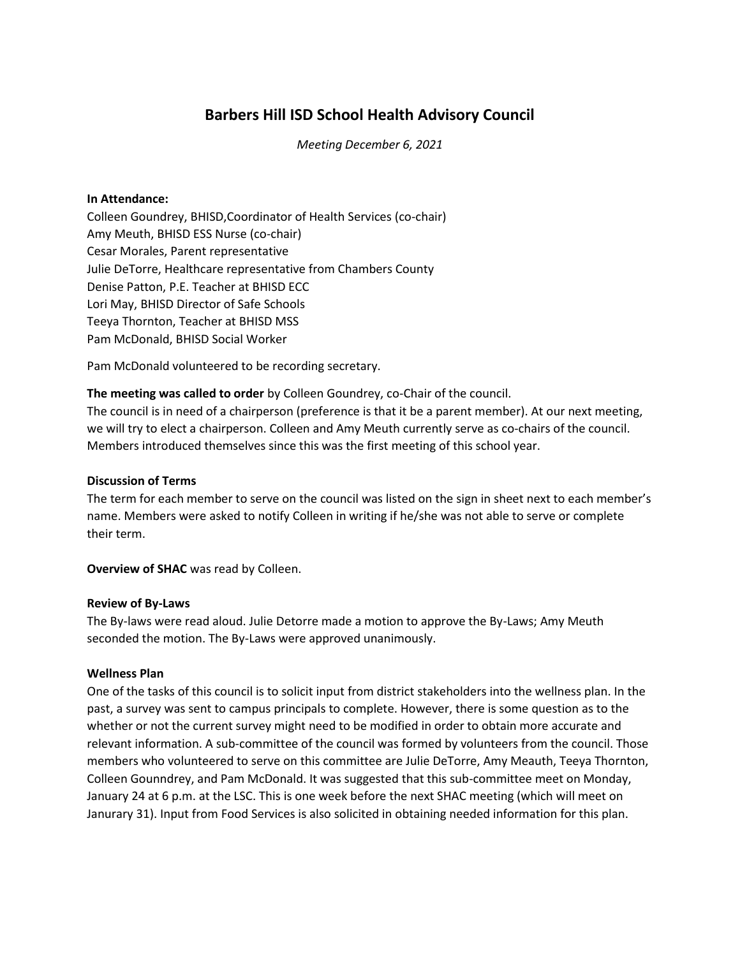# **Barbers Hill ISD School Health Advisory Council**

*Meeting December 6, 2021*

#### **In Attendance:**

Colleen Goundrey, BHISD,Coordinator of Health Services (co-chair) Amy Meuth, BHISD ESS Nurse (co-chair) Cesar Morales, Parent representative Julie DeTorre, Healthcare representative from Chambers County Denise Patton, P.E. Teacher at BHISD ECC Lori May, BHISD Director of Safe Schools Teeya Thornton, Teacher at BHISD MSS Pam McDonald, BHISD Social Worker

Pam McDonald volunteered to be recording secretary.

**The meeting was called to order** by Colleen Goundrey, co-Chair of the council. The council is in need of a chairperson (preference is that it be a parent member). At our next meeting, we will try to elect a chairperson. Colleen and Amy Meuth currently serve as co-chairs of the council. Members introduced themselves since this was the first meeting of this school year.

### **Discussion of Terms**

The term for each member to serve on the council was listed on the sign in sheet next to each member's name. Members were asked to notify Colleen in writing if he/she was not able to serve or complete their term.

**Overview of SHAC** was read by Colleen.

#### **Review of By-Laws**

The By-laws were read aloud. Julie Detorre made a motion to approve the By-Laws; Amy Meuth seconded the motion. The By-Laws were approved unanimously.

# **Wellness Plan**

One of the tasks of this council is to solicit input from district stakeholders into the wellness plan. In the past, a survey was sent to campus principals to complete. However, there is some question as to the whether or not the current survey might need to be modified in order to obtain more accurate and relevant information. A sub-committee of the council was formed by volunteers from the council. Those members who volunteered to serve on this committee are Julie DeTorre, Amy Meauth, Teeya Thornton, Colleen Gounndrey, and Pam McDonald. It was suggested that this sub-committee meet on Monday, January 24 at 6 p.m. at the LSC. This is one week before the next SHAC meeting (which will meet on Janurary 31). Input from Food Services is also solicited in obtaining needed information for this plan.